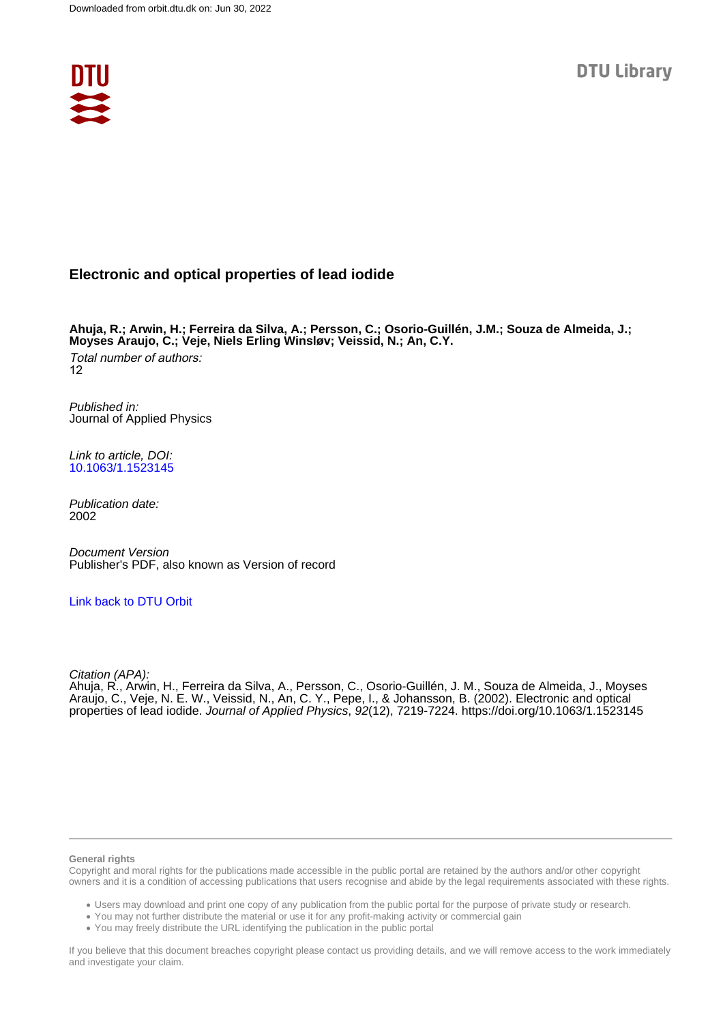

# **Electronic and optical properties of lead iodide**

**Ahuja, R.; Arwin, H.; Ferreira da Silva, A.; Persson, C.; Osorio-Guillén, J.M.; Souza de Almeida, J.; Moyses Araujo, C.; Veje, Niels Erling Winsløv; Veissid, N.; An, C.Y.** Total number of authors: 12

Published in: Journal of Applied Physics

Link to article, DOI: [10.1063/1.1523145](https://doi.org/10.1063/1.1523145)

Publication date: 2002

Document Version Publisher's PDF, also known as Version of record

## [Link back to DTU Orbit](https://orbit.dtu.dk/en/publications/202d169c-b48c-41c6-bc68-5f5f85318f27)

Citation (APA):

Ahuja, R., Arwin, H., Ferreira da Silva, A., Persson, C., Osorio-Guillén, J. M., Souza de Almeida, J., Moyses Araujo, C., Veje, N. E. W., Veissid, N., An, C. Y., Pepe, I., & Johansson, B. (2002). Electronic and optical properties of lead iodide. Journal of Applied Physics, 92(12), 7219-7224. <https://doi.org/10.1063/1.1523145>

#### **General rights**

Copyright and moral rights for the publications made accessible in the public portal are retained by the authors and/or other copyright owners and it is a condition of accessing publications that users recognise and abide by the legal requirements associated with these rights.

Users may download and print one copy of any publication from the public portal for the purpose of private study or research.

- You may not further distribute the material or use it for any profit-making activity or commercial gain
- You may freely distribute the URL identifying the publication in the public portal

If you believe that this document breaches copyright please contact us providing details, and we will remove access to the work immediately and investigate your claim.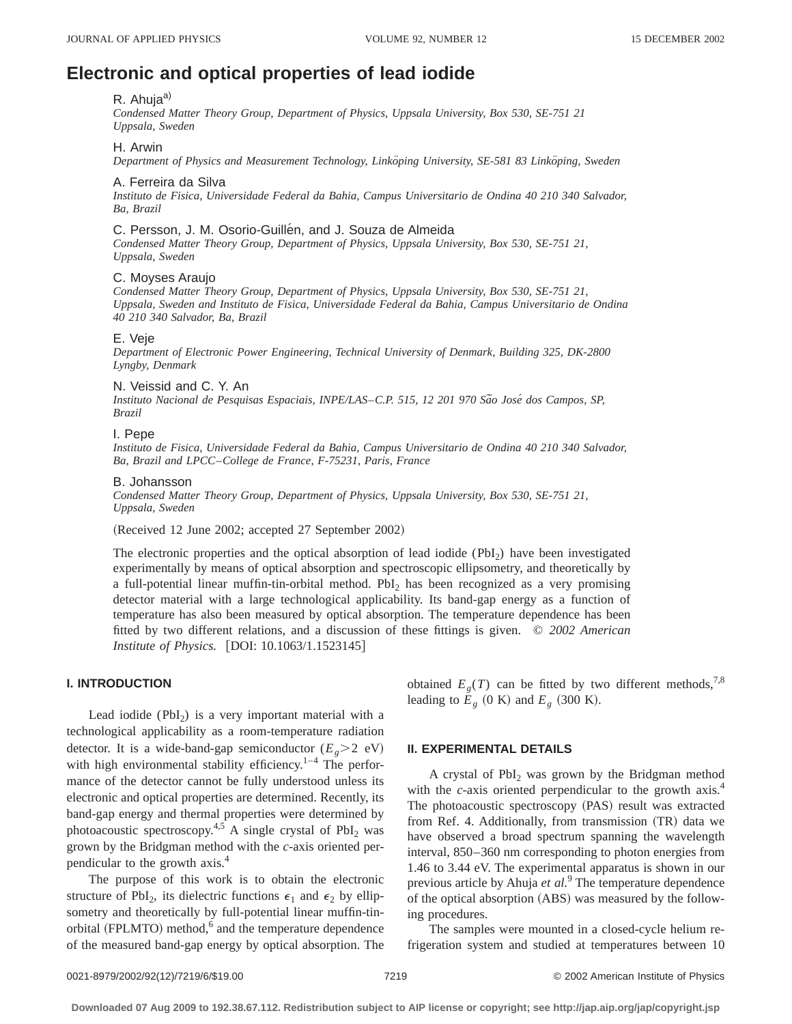# **Electronic and optical properties of lead iodide**

# R. Ahuja<sup>a)</sup>

*Condensed Matter Theory Group, Department of Physics, Uppsala University, Box 530, SE-751 21 Uppsala, Sweden*

### H. Arwin

*Department of Physics and Measurement Technology, Linko¨ping University, SE-581 83 Linko¨ping, Sweden*

### A. Ferreira da Silva

*Instituto de Fisica, Universidade Federal da Bahia, Campus Universitario de Ondina 40 210 340 Salvador, Ba, Brazil*

## C. Persson, J. M. Osorio-Guillen, and J. Souza de Almeida

*Condensed Matter Theory Group, Department of Physics, Uppsala University, Box 530, SE-751 21, Uppsala, Sweden*

## C. Moyses Araujo

*Condensed Matter Theory Group, Department of Physics, Uppsala University, Box 530, SE-751 21, Uppsala, Sweden and Instituto de Fisica, Universidade Federal da Bahia, Campus Universitario de Ondina 40 210 340 Salvador, Ba, Brazil*

#### E. Veje

*Department of Electronic Power Engineering, Technical University of Denmark, Building 325, DK-2800 Lyngby, Denmark*

#### N. Veissid and C. Y. An

*Instituto Nacional de Pesquisas Espaciais, INPE/LAS*–*C.P. 515, 12 201 970 Sa˜o Jose´ dos Campos, SP, Brazil*

## I. Pepe

*Instituto de Fisica, Universidade Federal da Bahia, Campus Universitario de Ondina 40 210 340 Salvador, Ba, Brazil and LPCC*–*College de France, F-75231, Paris, France*

#### B. Johansson

*Condensed Matter Theory Group, Department of Physics, Uppsala University, Box 530, SE-751 21, Uppsala, Sweden*

(Received 12 June 2002; accepted 27 September 2002)

The electronic properties and the optical absorption of lead iodide (PbI2) have been investigated experimentally by means of optical absorption and spectroscopic ellipsometry, and theoretically by a full-potential linear muffin-tin-orbital method. PbI<sub>2</sub> has been recognized as a very promising detector material with a large technological applicability. Its band-gap energy as a function of temperature has also been measured by optical absorption. The temperature dependence has been fitted by two different relations, and a discussion of these fittings is given. © *2002 American Institute of Physics.* [DOI: 10.1063/1.1523145]

# **I. INTRODUCTION**

Lead iodide  $(PbI_2)$  is a very important material with a technological applicability as a room-temperature radiation detector. It is a wide-band-gap semiconductor  $(E_p > 2 \text{ eV})$ with high environmental stability efficiency.<sup>1–4</sup> The performance of the detector cannot be fully understood unless its electronic and optical properties are determined. Recently, its band-gap energy and thermal properties were determined by photoacoustic spectroscopy.<sup>4,5</sup> A single crystal of  $PbI_2$  was grown by the Bridgman method with the *c*-axis oriented perpendicular to the growth axis.4

The purpose of this work is to obtain the electronic structure of PbI<sub>2</sub>, its dielectric functions  $\epsilon_1$  and  $\epsilon_2$  by ellipsometry and theoretically by full-potential linear muffin-tinorbital (FPLMTO) method, $6$  and the temperature dependence of the measured band-gap energy by optical absorption. The obtained  $E_g(T)$  can be fitted by two different methods,<sup>7,8</sup> leading to  $E_g$  (0 K) and  $E_g$  (300 K).

### **II. EXPERIMENTAL DETAILS**

A crystal of  $PbI_2$  was grown by the Bridgman method with the *c*-axis oriented perpendicular to the growth axis.<sup>4</sup> The photoacoustic spectroscopy (PAS) result was extracted from Ref. 4. Additionally, from transmission (TR) data we have observed a broad spectrum spanning the wavelength interval, 850–360 nm corresponding to photon energies from 1.46 to 3.44 eV. The experimental apparatus is shown in our previous article by Ahuja *et al.*<sup>9</sup> The temperature dependence of the optical absorption (ABS) was measured by the following procedures.

The samples were mounted in a closed-cycle helium refrigeration system and studied at temperatures between 10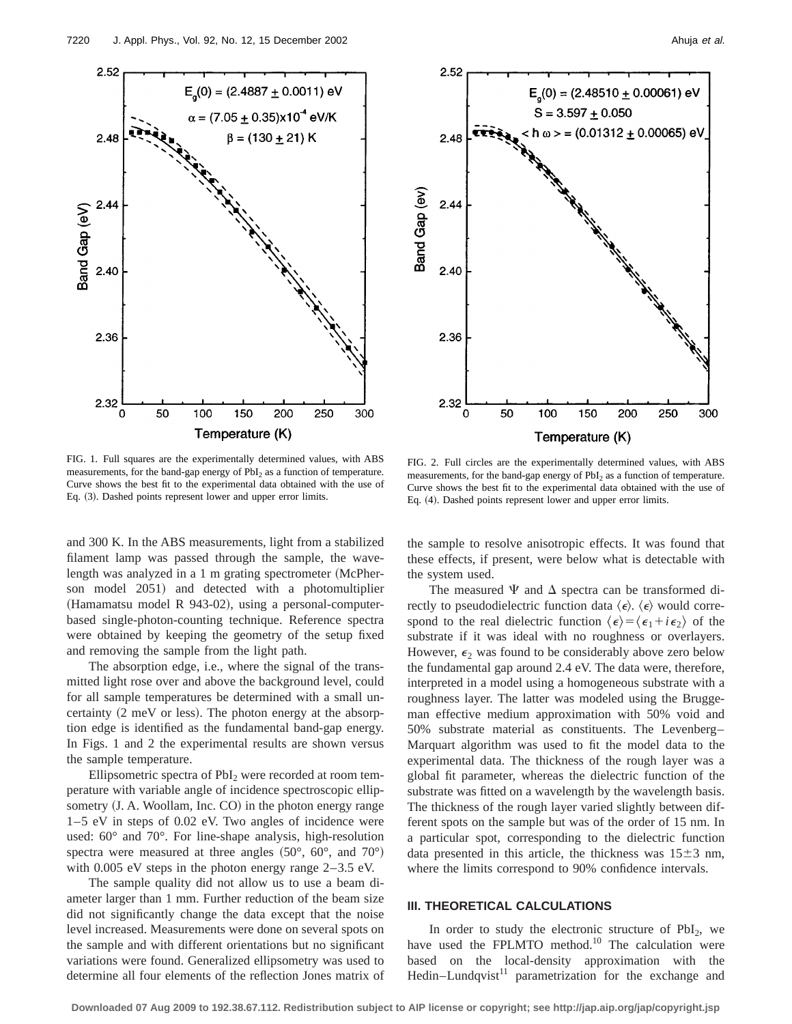



FIG. 1. Full squares are the experimentally determined values, with ABS measurements, for the band-gap energy of  $PbI<sub>2</sub>$  as a function of temperature. Curve shows the best fit to the experimental data obtained with the use of Eq. (3). Dashed points represent lower and upper error limits.

FIG. 2. Full circles are the experimentally determined values, with ABS measurements, for the band-gap energy of PbI<sub>2</sub> as a function of temperature. Curve shows the best fit to the experimental data obtained with the use of Eq. (4). Dashed points represent lower and upper error limits.

and 300 K. In the ABS measurements, light from a stabilized filament lamp was passed through the sample, the wavelength was analyzed in a 1 m grating spectrometer (McPherson model 2051) and detected with a photomultiplier (Hamamatsu model R 943-02), using a personal-computerbased single-photon-counting technique. Reference spectra were obtained by keeping the geometry of the setup fixed and removing the sample from the light path.

The absorption edge, i.e., where the signal of the transmitted light rose over and above the background level, could for all sample temperatures be determined with a small uncertainty  $(2 \text{ meV or less})$ . The photon energy at the absorption edge is identified as the fundamental band-gap energy. In Figs. 1 and 2 the experimental results are shown versus the sample temperature.

Ellipsometric spectra of PbI<sub>2</sub> were recorded at room temperature with variable angle of incidence spectroscopic ellipsometry  $(J. A.$  Woollam, Inc.  $CO$  in the photon energy range 1–5 eV in steps of 0.02 eV. Two angles of incidence were used: 60° and 70°. For line-shape analysis, high-resolution spectra were measured at three angles  $(50^{\circ}, 60^{\circ}, \text{ and } 70^{\circ})$ with 0.005 eV steps in the photon energy range 2–3.5 eV.

The sample quality did not allow us to use a beam diameter larger than 1 mm. Further reduction of the beam size did not significantly change the data except that the noise level increased. Measurements were done on several spots on the sample and with different orientations but no significant variations were found. Generalized ellipsometry was used to determine all four elements of the reflection Jones matrix of the sample to resolve anisotropic effects. It was found that these effects, if present, were below what is detectable with the system used.

The measured  $\Psi$  and  $\Delta$  spectra can be transformed directly to pseudodielectric function data  $\langle \epsilon \rangle$ .  $\langle \epsilon \rangle$  would correspond to the real dielectric function  $\langle \epsilon \rangle = \langle \epsilon_1 + i \epsilon_2 \rangle$  of the substrate if it was ideal with no roughness or overlayers. However,  $\epsilon_2$  was found to be considerably above zero below the fundamental gap around 2.4 eV. The data were, therefore, interpreted in a model using a homogeneous substrate with a roughness layer. The latter was modeled using the Bruggeman effective medium approximation with 50% void and 50% substrate material as constituents. The Levenberg– Marquart algorithm was used to fit the model data to the experimental data. The thickness of the rough layer was a global fit parameter, whereas the dielectric function of the substrate was fitted on a wavelength by the wavelength basis. The thickness of the rough layer varied slightly between different spots on the sample but was of the order of 15 nm. In a particular spot, corresponding to the dielectric function data presented in this article, the thickness was  $15\pm3$  nm, where the limits correspond to 90% confidence intervals.

#### **III. THEORETICAL CALCULATIONS**

In order to study the electronic structure of  $PbI<sub>2</sub>$ , we have used the FPLMTO method.<sup>10</sup> The calculation were based on the local-density approximation with the Hedin–Lundqvist $11$  parametrization for the exchange and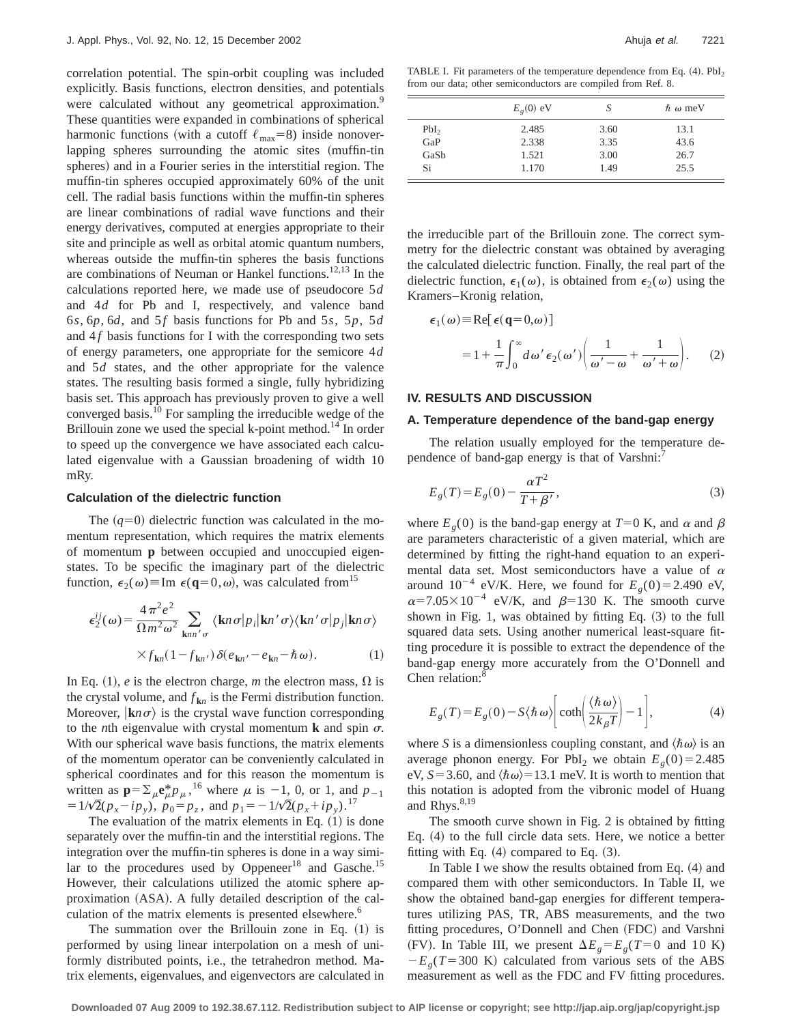correlation potential. The spin-orbit coupling was included explicitly. Basis functions, electron densities, and potentials were calculated without any geometrical approximation.<sup>9</sup> These quantities were expanded in combinations of spherical harmonic functions (with a cutoff  $\ell_{\text{max}}=8$ ) inside nonoverlapping spheres surrounding the atomic sites (muffin-tin spheres) and in a Fourier series in the interstitial region. The muffin-tin spheres occupied approximately 60% of the unit cell. The radial basis functions within the muffin-tin spheres are linear combinations of radial wave functions and their energy derivatives, computed at energies appropriate to their site and principle as well as orbital atomic quantum numbers, whereas outside the muffin-tin spheres the basis functions are combinations of Neuman or Hankel functions.<sup>12,13</sup> In the calculations reported here, we made use of pseudocore 5*d* and 4*d* for Pb and I, respectively, and valence band 6*s*, 6*p*, 6*d*, and 5*f* basis functions for Pb and 5*s*, 5*p*, 5*d* and  $4f$  basis functions for I with the corresponding two sets of energy parameters, one appropriate for the semicore 4*d* and 5*d* states, and the other appropriate for the valence states. The resulting basis formed a single, fully hybridizing basis set. This approach has previously proven to give a well converged basis.10 For sampling the irreducible wedge of the Brillouin zone we used the special k-point method.<sup>14</sup> In order to speed up the convergence we have associated each calculated eigenvalue with a Gaussian broadening of width 10 mRy.

#### **Calculation of the dielectric function**

The  $(q=0)$  dielectric function was calculated in the momentum representation, which requires the matrix elements of momentum **p** between occupied and unoccupied eigenstates. To be specific the imaginary part of the dielectric function,  $\epsilon_2(\omega) \equiv \text{Im } \epsilon(\mathbf{q}=0,\omega)$ , was calculated from<sup>15</sup>

$$
\epsilon_2^{ij}(\omega) = \frac{4\pi^2 e^2}{\Omega m^2 \omega^2} \sum_{\mathbf{k}nn'\sigma} \langle \mathbf{k}n\sigma | p_i | \mathbf{k}n'\sigma \rangle \langle \mathbf{k}n'\sigma | p_j | \mathbf{k}n\sigma \rangle
$$
  
 
$$
\times f_{\mathbf{k}n}(1 - f_{\mathbf{k}n'}) \delta(e_{\mathbf{k}n'} - e_{\mathbf{k}n} - \hbar \omega).
$$
 (1)

In Eq. (1), *e* is the electron charge, *m* the electron mass,  $\Omega$  is the crystal volume, and  $f_{kn}$  is the Fermi distribution function. Moreover,  $|\mathbf{k}n\sigma\rangle$  is the crystal wave function corresponding to the *n*th eigenvalue with crystal momentum **k** and spin  $\sigma$ . With our spherical wave basis functions, the matrix elements of the momentum operator can be conveniently calculated in spherical coordinates and for this reason the momentum is written as  $\mathbf{p} = \sum_{\mu} \mathbf{e}_{\mu}^* p_{\mu}$ , <sup>16</sup> where  $\mu$  is -1, 0, or 1, and  $p_{-1}$  $=1/\sqrt{2}(p_x - ip_y), p_0 = p_z$ , and  $p_1 = -1/\sqrt{2}(p_x + ip_y)$ .<sup>17</sup>

The evaluation of the matrix elements in Eq.  $(1)$  is done separately over the muffin-tin and the interstitial regions. The integration over the muffin-tin spheres is done in a way similar to the procedures used by Oppeneer $18$  and Gasche.<sup>15</sup> However, their calculations utilized the atomic sphere approximation (ASA). A fully detailed description of the calculation of the matrix elements is presented elsewhere.<sup>6</sup>

The summation over the Brillouin zone in Eq.  $(1)$  is performed by using linear interpolation on a mesh of uniformly distributed points, i.e., the tetrahedron method. Matrix elements, eigenvalues, and eigenvectors are calculated in

TABLE I. Fit parameters of the temperature dependence from Eq.  $(4)$ .  $PbI<sub>2</sub>$ from our data; other semiconductors are compiled from Ref. 8.

|                  | $E_{\rho}(0)$ eV | S    | $\hbar \omega$ meV |
|------------------|------------------|------|--------------------|
| PbI <sub>2</sub> | 2.485            | 3.60 | 13.1               |
| GaP              | 2.338            | 3.35 | 43.6               |
| GaSb             | 1.521            | 3.00 | 26.7               |
| Si               | 1.170            | 1.49 | 25.5               |

the irreducible part of the Brillouin zone. The correct symmetry for the dielectric constant was obtained by averaging the calculated dielectric function. Finally, the real part of the dielectric function,  $\epsilon_1(\omega)$ , is obtained from  $\epsilon_2(\omega)$  using the Kramers–Kronig relation,

$$
\epsilon_1(\omega) = \text{Re}[\epsilon(\mathbf{q}=0,\omega)]
$$
  
= 1 +  $\frac{1}{\pi} \int_0^{\infty} d\omega' \epsilon_2(\omega') \left( \frac{1}{\omega' - \omega} + \frac{1}{\omega' + \omega} \right).$  (2)

#### **IV. RESULTS AND DISCUSSION**

#### **A. Temperature dependence of the band-gap energy**

The relation usually employed for the temperature dependence of band-gap energy is that of Varshni:<sup>7</sup>

$$
E_g(T) = E_g(0) - \frac{\alpha T^2}{T + \beta'},
$$
\n(3)

where  $E_g(0)$  is the band-gap energy at  $T=0$  K, and  $\alpha$  and  $\beta$ are parameters characteristic of a given material, which are determined by fitting the right-hand equation to an experimental data set. Most semiconductors have a value of  $\alpha$ around  $10^{-4}$  eV/K. Here, we found for  $E<sub>o</sub>(0)=2.490$  eV,  $\alpha$ =7.05×10<sup>-4</sup> eV/K, and  $\beta$ =130 K. The smooth curve shown in Fig. 1, was obtained by fitting Eq.  $(3)$  to the full squared data sets. Using another numerical least-square fitting procedure it is possible to extract the dependence of the band-gap energy more accurately from the O'Donnell and Chen relation: $8$ 

$$
E_g(T) = E_g(0) - S \langle \hbar \omega \rangle \left[ \coth \left( \frac{\langle \hbar \omega \rangle}{2 k_{\beta} T} \right) - 1 \right],\tag{4}
$$

where *S* is a dimensionless coupling constant, and  $\langle \hbar \omega \rangle$  is an average phonon energy. For PbI<sub>2</sub> we obtain  $E<sub>g</sub>(0)=2.485$ eV,  $S = 3.60$ , and  $\langle \hbar \omega \rangle = 13.1$  meV. It is worth to mention that this notation is adopted from the vibronic model of Huang and Rhys. $8,19$ 

The smooth curve shown in Fig. 2 is obtained by fitting Eq.  $(4)$  to the full circle data sets. Here, we notice a better fitting with Eq.  $(4)$  compared to Eq.  $(3)$ .

In Table I we show the results obtained from Eq.  $(4)$  and compared them with other semiconductors. In Table II, we show the obtained band-gap energies for different temperatures utilizing PAS, TR, ABS measurements, and the two fitting procedures, O'Donnell and Chen (FDC) and Varshni (FV). In Table III, we present  $\Delta E_g = E_g(T=0)$  and 10 K)  $-E<sub>g</sub>(T=300 \text{ K})$  calculated from various sets of the ABS measurement as well as the FDC and FV fitting procedures.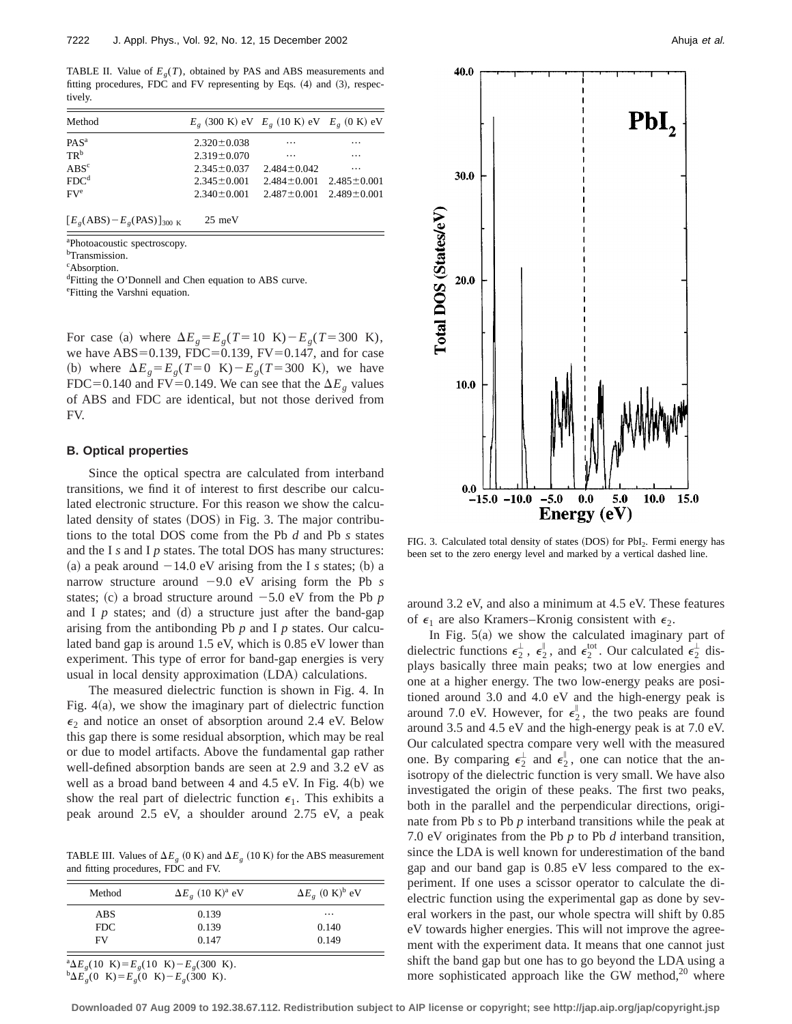TABLE II. Value of  $E<sub>g</sub>(T)$ , obtained by PAS and ABS measurements and fitting procedures, FDC and FV representing by Eqs.  $(4)$  and  $(3)$ , respectively.

| Method           | $E_{\rho}$ (300 K) eV $E_{\rho}$ (10 K) eV $E_{\rho}$ (0 K) eV |                                     |          |
|------------------|----------------------------------------------------------------|-------------------------------------|----------|
| $PAS^a$          | $2.320 \pm 0.038$                                              | $\cdots$                            | $\cdots$ |
| $TR^b$           | $2.319 \pm 0.070$                                              | $\cdots$                            | $\cdots$ |
| $\rm ABS^c$      | $2.345 \pm 0.037$                                              | $2.484 \pm 0.042$                   | $\cdots$ |
| FDC <sup>d</sup> | $2.345 \pm 0.001$                                              | $2.484 \pm 0.001$ $2.485 \pm 0.001$ |          |
| $FV^e$           | $2.340 \pm 0.001$                                              | $2.487 \pm 0.001$ $2.489 \pm 0.001$ |          |
|                  |                                                                |                                     |          |

 $[E_g(ABS) - E_g(PAS)]_{300 \text{ K}}$  25 meV

a Photoacoustic spectroscopy.

b Transmission.

c Absorption.

<sup>d</sup>Fitting the O'Donnell and Chen equation to ABS curve. e Fitting the Varshni equation.

For case (a) where  $\Delta E_g = E_g(T=10 \text{ K}) - E_g(T=300 \text{ K})$ , we have ABS=0.139, FDC=0.139, FV=0.147, and for case (b) where  $\Delta E_g = E_g(T=0 \text{ K}) - E_g(T=300 \text{ K})$ , we have FDC=0.140 and FV=0.149. We can see that the  $\Delta E_g$  values of ABS and FDC are identical, but not those derived from FV.

#### **B. Optical properties**

Since the optical spectra are calculated from interband transitions, we find it of interest to first describe our calculated electronic structure. For this reason we show the calculated density of states (DOS) in Fig. 3. The major contributions to the total DOS come from the Pb *d* and Pb *s* states and the I *s* and I *p* states. The total DOS has many structures: (a) a peak around  $-14.0$  eV arising from the I *s* states; (b) a narrow structure around  $-9.0$  eV arising form the Pb *s* states; (c) a broad structure around  $-5.0$  eV from the Pb  $p$ and I  $p$  states; and  $(d)$  a structure just after the band-gap arising from the antibonding Pb *p* and I *p* states. Our calculated band gap is around 1.5 eV, which is 0.85 eV lower than experiment. This type of error for band-gap energies is very usual in local density approximation (LDA) calculations.

The measured dielectric function is shown in Fig. 4. In Fig.  $4(a)$ , we show the imaginary part of dielectric function  $\epsilon_2$  and notice an onset of absorption around 2.4 eV. Below this gap there is some residual absorption, which may be real or due to model artifacts. Above the fundamental gap rather well-defined absorption bands are seen at 2.9 and 3.2 eV as well as a broad band between 4 and 4.5 eV. In Fig.  $4(b)$  we show the real part of dielectric function  $\epsilon_1$ . This exhibits a peak around 2.5 eV, a shoulder around 2.75 eV, a peak

TABLE III. Values of  $\Delta E_{\rho}$  (0 K) and  $\Delta E_{\rho}$  (10 K) for the ABS measurement and fitting procedures, FDC and FV.

| Method | $\Delta E_g$ (10 K) <sup>a</sup> eV | $\Delta E_g$ (0 K) <sup>b</sup> eV |
|--------|-------------------------------------|------------------------------------|
| ABS    | 0.139                               | $\cdots$                           |
| FDC.   | 0.139                               | 0.140                              |
| FV     | 0.147                               | 0.149                              |

 ${}^{a}\Delta E_{g}$ (10 K) =  $E_{g}$ (10 K) –  $E_{g}$ (300 K).  ${}^{b}\Delta E_{g}(0 \text{ K})=E_{g}(0 \text{ K})-E_{g}(300 \text{ K}).$ 



FIG. 3. Calculated total density of states (DOS) for PbI<sub>2</sub>. Fermi energy has been set to the zero energy level and marked by a vertical dashed line.

around 3.2 eV, and also a minimum at 4.5 eV. These features of  $\epsilon_1$  are also Kramers–Kronig consistent with  $\epsilon_2$ .

In Fig.  $5(a)$  we show the calculated imaginary part of dielectric functions  $\epsilon_2^{\perp}$ ,  $\epsilon_2^{\parallel}$ , and  $\epsilon_2^{\text{tot}}$ . Our calculated  $\epsilon_2^{\perp}$  displays basically three main peaks; two at low energies and one at a higher energy. The two low-energy peaks are positioned around 3.0 and 4.0 eV and the high-energy peak is around 7.0 eV. However, for  $\epsilon_2^{\parallel}$ , the two peaks are found around 3.5 and 4.5 eV and the high-energy peak is at 7.0 eV. Our calculated spectra compare very well with the measured one. By comparing  $\epsilon_2^{\perp}$  and  $\epsilon_2^{\parallel}$ , one can notice that the anisotropy of the dielectric function is very small. We have also investigated the origin of these peaks. The first two peaks, both in the parallel and the perpendicular directions, originate from Pb *s* to Pb *p* interband transitions while the peak at 7.0 eV originates from the Pb *p* to Pb *d* interband transition, since the LDA is well known for underestimation of the band gap and our band gap is 0.85 eV less compared to the experiment. If one uses a scissor operator to calculate the dielectric function using the experimental gap as done by several workers in the past, our whole spectra will shift by 0.85 eV towards higher energies. This will not improve the agreement with the experiment data. It means that one cannot just shift the band gap but one has to go beyond the LDA using a more sophisticated approach like the GW method, $20$  where

**Downloaded 07 Aug 2009 to 192.38.67.112. Redistribution subject to AIP license or copyright; see http://jap.aip.org/jap/copyright.jsp**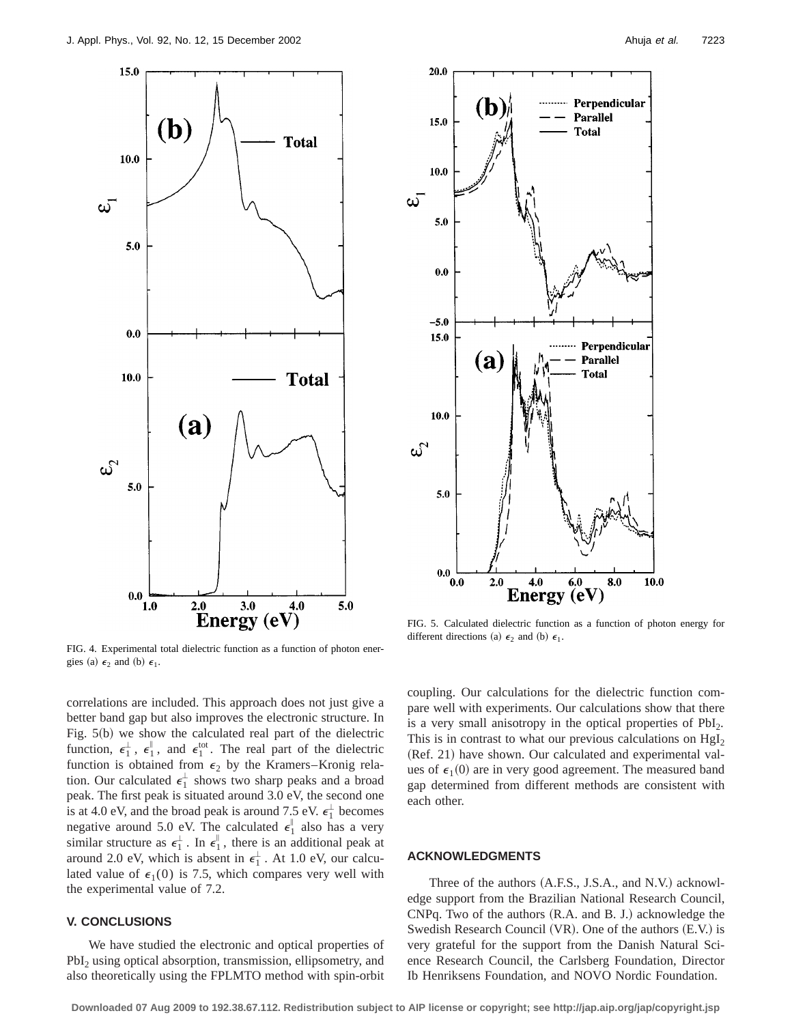

FIG. 4. Experimental total dielectric function as a function of photon energies (a)  $\epsilon_2$  and (b)  $\epsilon_1$ .



FIG. 5. Calculated dielectric function as a function of photon energy for different directions (a)  $\epsilon_2$  and (b)  $\epsilon_1$ .

correlations are included. This approach does not just give a better band gap but also improves the electronic structure. In Fig.  $5(b)$  we show the calculated real part of the dielectric function,  $\epsilon_1^{\perp}$ ,  $\epsilon_1^{\parallel}$ , and  $\epsilon_1^{\text{tot}}$ . The real part of the dielectric function is obtained from  $\epsilon_2$  by the Kramers–Kronig relation. Our calculated  $\epsilon_1^{\perp}$  shows two sharp peaks and a broad peak. The first peak is situated around 3.0 eV, the second one is at 4.0 eV, and the broad peak is around 7.5 eV.  $\epsilon_1^{\perp}$  becomes negative around 5.0 eV. The calculated  $\epsilon_1^{\parallel}$  also has a very similar structure as  $\epsilon_1^{\perp}$ . In  $\epsilon_1^{\parallel}$ , there is an additional peak at around 2.0 eV, which is absent in  $\epsilon_1^{\perp}$ . At 1.0 eV, our calculated value of  $\epsilon_1(0)$  is 7.5, which compares very well with the experimental value of 7.2.

## **V. CONCLUSIONS**

We have studied the electronic and optical properties of PbI<sub>2</sub> using optical absorption, transmission, ellipsometry, and also theoretically using the FPLMTO method with spin-orbit coupling. Our calculations for the dielectric function compare well with experiments. Our calculations show that there is a very small anisotropy in the optical properties of  $PbI<sub>2</sub>$ . This is in contrast to what our previous calculations on  $HgI<sub>2</sub>$ (Ref. 21) have shown. Our calculated and experimental values of  $\epsilon_1(0)$  are in very good agreement. The measured band gap determined from different methods are consistent with each other.

#### **ACKNOWLEDGMENTS**

Three of the authors  $(A.F.S., J.S.A., and N.V.)$  acknowledge support from the Brazilian National Research Council,  $CNPq$ . Two of the authors  $(R.A.$  and B. J.) acknowledge the Swedish Research Council  $(VR)$ . One of the authors  $(E.V.)$  is very grateful for the support from the Danish Natural Science Research Council, the Carlsberg Foundation, Director Ib Henriksens Foundation, and NOVO Nordic Foundation.